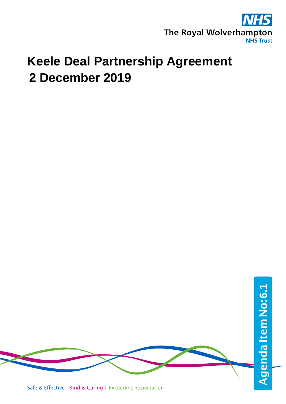

# **Keele Deal Partnership Agreement 2 December 2019**

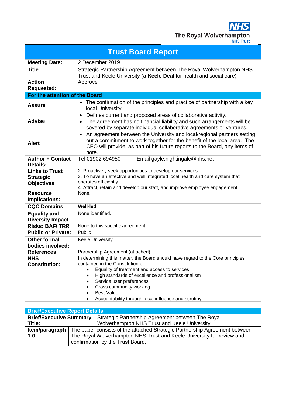| <b>Trust Board Report</b>                                      |                                                                                                                                                                                                                                                                                                      |  |  |
|----------------------------------------------------------------|------------------------------------------------------------------------------------------------------------------------------------------------------------------------------------------------------------------------------------------------------------------------------------------------------|--|--|
| <b>Meeting Date:</b>                                           | 2 December 2019                                                                                                                                                                                                                                                                                      |  |  |
| Title:                                                         | Strategic Partnership Agreement between The Royal Wolverhampton NHS<br>Trust and Keele University (a Keele Deal for health and social care)                                                                                                                                                          |  |  |
| <b>Action</b><br><b>Requested:</b>                             | Approve                                                                                                                                                                                                                                                                                              |  |  |
| For the attention of the Board                                 |                                                                                                                                                                                                                                                                                                      |  |  |
| <b>Assure</b>                                                  | • The confirmation of the principles and practice of partnership with a key<br>local University.                                                                                                                                                                                                     |  |  |
| <b>Advise</b>                                                  | Defines current and proposed areas of collaborative activity.<br>٠<br>The agreement has no financial liability and such arrangements will be<br>$\bullet$<br>covered by separate individual collaborative agreements or ventures.                                                                    |  |  |
| <b>Alert</b>                                                   | An agreement between the University and local/regional partners setting<br>$\bullet$<br>out a commitment to work together for the benefit of the local area. The<br>CEO will provide, as part of his future reports to the Board, any items of<br>note.                                              |  |  |
| <b>Author + Contact</b><br>Details:                            | Tel 01902 694950<br>Email gayle.nightingale@nhs.net                                                                                                                                                                                                                                                  |  |  |
| <b>Links to Trust</b><br><b>Strategic</b><br><b>Objectives</b> | 2. Proactively seek opportunities to develop our services<br>3. To have an effective and well integrated local health and care system that<br>operates efficiently<br>4. Attract, retain and develop our staff, and improve employee engagement                                                      |  |  |
| <b>Resource</b><br>Implications:                               | None.                                                                                                                                                                                                                                                                                                |  |  |
| <b>CQC Domains</b>                                             | Well-led.                                                                                                                                                                                                                                                                                            |  |  |
| <b>Equality and</b><br><b>Diversity Impact</b>                 | None identified.                                                                                                                                                                                                                                                                                     |  |  |
| <b>Risks: BAF/TRR</b>                                          | None to this specific agreement.                                                                                                                                                                                                                                                                     |  |  |
| <b>Public or Private:</b>                                      | Public                                                                                                                                                                                                                                                                                               |  |  |
| <b>Other formal</b><br>bodies involved:                        | Keele University                                                                                                                                                                                                                                                                                     |  |  |
| <b>References</b>                                              | Partnership Agreement (attached)                                                                                                                                                                                                                                                                     |  |  |
| <b>NHS</b><br><b>Constitution:</b>                             | In determining this matter, the Board should have regard to the Core principles<br>contained in the Constitution of:<br>Equality of treatment and access to services<br>High standards of excellence and professionalism<br>Service user preferences<br>Cross community working<br><b>Best Value</b> |  |  |
|                                                                | Accountability through local influence and scrutiny                                                                                                                                                                                                                                                  |  |  |

| <b>Brief/Executive Report Details</b> |                                                                                                  |                                                   |  |
|---------------------------------------|--------------------------------------------------------------------------------------------------|---------------------------------------------------|--|
| <b>Brief/Executive Summary</b>        |                                                                                                  | Strategic Partnership Agreement between The Royal |  |
| Title:                                |                                                                                                  | Wolverhampton NHS Trust and Keele University      |  |
|                                       | <b>Item/paragraph</b> The paper consists of the attached Strategic Partnership Agreement between |                                                   |  |
| 1.0                                   | The Royal Wolverhampton NHS Trust and Keele University for review and                            |                                                   |  |
|                                       | confirmation by the Trust Board.                                                                 |                                                   |  |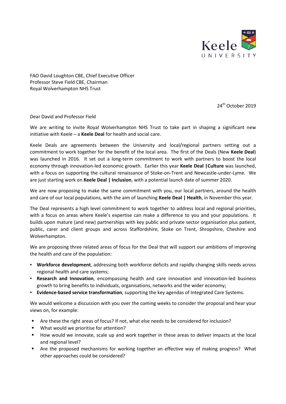

FAO David Loughton CBE, Chief Executive Officer Professor Steve Field CBE, Chairman Royal Wolverhampton NHS Trust

24<sup>th</sup> October 2019

Dear David and Professor Field

We are writing to invite Royal Wolverhampton NHS Trust to take part in shaping a significant new initiative with Keele – a **Keele Deal** for health and social care.

Keele Deals are agreements between the University and local/regional partners setting out a commitment to work together for the benefit of the local area. The first of the Deals (New **Keele Deal**) was launched in 2016. It set out a long-term commitment to work with partners to boost the local economy through innovation-led economic growth. Earlier this year **Keele Deal |Culture** was launched, with a focus on supporting the cultural renaissance of Stoke-on-Trent and Newcastle-under-Lyme. We are just starting work on **Keele Deal | Inclusion**, with a potential launch date of summer 2020.

We are now proposing to make the same commitment with you, our local partners, around the health and care of our local populations, with the aim of launching **Keele Deal | Health**, in November this year.

The Deal represents a high level commitment to work together to address local and regional priorities, with a focus on areas where Keele's expertise can make a difference to you and your populations. It builds upon mature (and new) partnerships with key public and private sector organisation plus patient, public, carer and client groups and across Staffordshire, Stoke on Trent, Shropshire, Cheshire and Wolverhampton.

We are proposing three related areas of focus for the Deal that will support our ambitions of improving the health and care of the population:

- **Workforce development**, addressing both workforce deficits and rapidly changing skills needs across regional health and care systems;
- **Research and Innovation**, encompassing health and care innovation and innovation-led business growth to bring benefits to individuals, organisations, networks and the wider economy;
- **Evidence-based service transformation**, supporting the key agendas of Integrated Care Systems.

We would welcome a discussion with you over the coming weeks to consider the proposal and hear your views on, for example:

- Are these the right areas of focus? If not, what else needs to be considered for inclusion?
- What would we prioritise for attention?
- How would we innovate, scale up and work together in these areas to deliver impacts at the local and regional level?
- Are the proposed mechanisms for working together an effective way of making progress? What other approaches could be considered?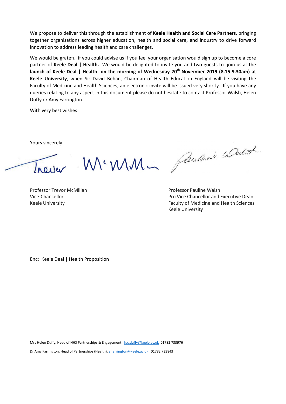We propose to deliver this through the establishment of **Keele Health and Social Care Partners**, bringing together organisations across higher education, health and social care, and industry to drive forward innovation to address leading health and care challenges.

We would be grateful if you could advise us if you feel your organisation would sign up to become a core partner of **Keele Deal | Health.** We would be delighted to invite you and two guests to join us at the **launch of Keele Deal | Health on the morning of Wednesday 20th November 2019 (8.15-9.30am) at Keele University**, when Sir David Behan, Chairman of Health Education England will be visiting the Faculty of Medicine and Health Sciences, an electronic invite will be issued very shortly. If you have any queries relating to any aspect in this document please do not hesitate to contact Professor Walsh, Helen Duffy or Amy Farrington.

With very best wishes

Yours sincerely

Trever

Professor Trevor McMillan Professor Pauline Walsh

MCMM - Paucine Walter.

Vice-Chancellor Pro Vice Chancellor and Executive Dean Keele University **Faculty of Medicine and Health Sciences** Faculty of Medicine and Health Sciences Keele University

Enc: Keele Deal | Health Proposition

Mrs Helen Duffy, Head of NHS Partnerships & Engagement: [h.c.duffy@keele.ac.uk](mailto:h.c.duffy@keele.ac.uk) 01782 733976 Dr Amy Farrington, Head of Partnerships (Health)[: a.farrington@keele.ac.uk](mailto:a.farrington@keele.ac.uk) 01782 733843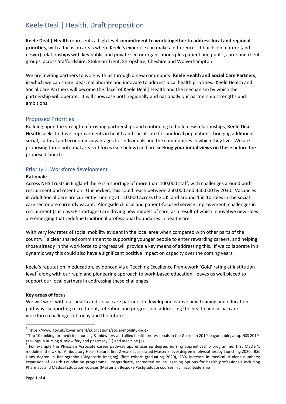# Keele Deal | Health. Draft proposition

**Keele Deal | Health** represents a high level **commitment to work together to address local and regional priorities**, with a focus on areas where Keele's expertise can make a difference. It builds on mature (and newer) relationships with key public and private sector organisations plus patient and public, carer and client groups across Staffordshire, Stoke on Trent, Shropshire, Cheshire and Wolverhampton.

We are inviting partners to work with us through a new community, **Keele Health and Social Care Partners**, in which we can share ideas, collaborate and innovate to address local health priorities. Keele Health and Social Care Partners will become the 'face' of Keele Deal | Health and the mechanism by which the partnership will operate. It will showcase both regionally and nationally our partnership strengths and ambitions.

# Proposed Priorities

Building upon the strength of existing partnerships and continuing to build new relationships, **Keele Deal | Health** seeks to drive improvements in health and social care for our local populations, bringing additional social, cultural and economic advantages for individuals and the communities in which they live. We are proposing three potential areas of focus (see below) and are **seeking your initial views on these** before the proposed launch.

#### Priority 1: Workforce development

#### **Rationale**

Across NHS Trusts in England there is a shortage of more than 100,000 staff, with challenges around both recruitment and retention. Unchecked, this could reach between 250,000 and 350,000 by 2030. Vacancies in Adult Social Care are currently running at 110,000 across the UK, and around 1 in 10 roles in the social care sector are currently vacant. Alongside clinical and patient-focused service improvement, challenges in recruitment (such as GP shortages) are driving new models of care, as a result of which innovative new roles are emerging that redefine traditional professional boundaries in healthcare.

With very low rates of social mobility evident in the local area when compared with other parts of the country,<sup>[1](#page-4-0)</sup> a clear shared commitment to supporting younger people to enter rewarding careers, and helping those already in the workforce to progress will provide a key means of addressing this. If we collaborate in a dynamic way this could also have a significant positive impact on capacity over the coming years.

Keele's reputation in education, evidenced via a Teaching Excellence Framework 'Gold' rating at institution level<sup>[2](#page-4-1)</sup> along with our rapid and pioneering approach to work-based education<sup>[3](#page-4-2)</sup> leaves us well placed to support our local partners in addressing these challenges.

#### **Key areas of focus**

We will work with our health and social care partners to develop innovative new training and education pathways supporting recruitment, retention and progression, addressing the health and social care workforce challenges of today and the future.

<span id="page-4-0"></span> $1$  https://www.gov.uk/government/publications/social-mobility-index

<span id="page-4-1"></span><sup>&</sup>lt;sup>2</sup> Top 10 ranking for medicine, nursing & midwifery and allied health professionals in the Guardian 2019 league table, a top NSS 2019

<span id="page-4-2"></span>rankings in nursing & midwifery and pharmacy (1) and medicine (2).<br><sup>3</sup> For example the Physician Associate career pathway apprenticeship degree, nursing apprenticeship programme, first Master's module in the UK for Ambulatory Heart Failure, first 2 years accelerated Master's level degree in physiotherapy launching 2020, BSc Hons degree in Radiography (Diagnostic Imaging) (first cohort graduating 2020), 25% increase in medical student numbers; expansion of Health Foundation programme; Postgraduate, accredited online learning options for health professionals including Pharmacy and Medical Education courses (Master's); Bespoke Postgraduate courses in clinical leadership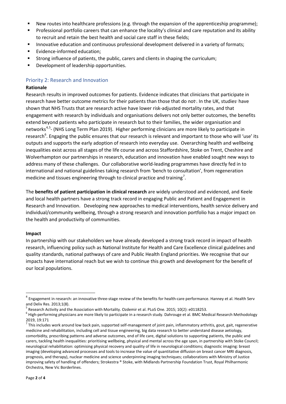- New routes into healthcare professions (e.g. through the expansion of the apprenticeship programme);
- Professional portfolio careers that can enhance the locality's clinical and care reputation and its ability to recruit and retain the best health and social care staff in these fields;
- Innovative education and continuous professional development delivered in a variety of formats;
- **Evidence-informed education;**
- Strong influence of patients, the public, carers and clients in shaping the curriculum;
- **•** Development of leadership opportunities.

### Priority 2: Research and Innovation

#### **Rationale**

Research results in improved outcomes for patients. Evidence indicates that clinicians that participate in research have better outcome metrics for their patients than those that do not<sup>4</sup>. In the UK, studies<sup>5</sup> have shown that NHS Trusts that are research active have lower risk-adjusted mortality rates, and that engagement with research by individuals and organisations delivers not only better outcomes, the benefits extend beyond patients who participate in research but to their families, the wider organisation and networks<sup>[4,](#page-5-0)[5](#page-5-1)</sup>- (NHS Long Term Plan 2019). Higher performing clinicians are more likely to participate in research<sup>[6](#page-5-2)</sup>. Engaging the public ensures that our research is relevant and important to those who will 'use' its outputs and supports the early adoption of research into everyday use. Overarching health and wellbeing inequalities exist across all stages of the life course and across Staffordshire, Stoke on Trent, Cheshire and Wolverhampton our partnerships in research, education and innovation have enabled sought new ways to address many of these challenges. Our collaborative world-leading programmes have directly fed in to international and national guidelines taking research from 'bench to consultation', from regeneration medicine and tissues engineering through to clinical practice and training<sup>[7](#page-5-3)</sup>.

The **benefits of patient participation in clinical research** are widely understood and evidenced, and Keele and local health partners have a strong track record in engaging Public and Patient and Engagement in Research and Innovation. Developing new approaches to medical interventions, health service delivery and individual/community wellbeing, through a strong research and innovation portfolio has a major impact on the health and productivity of communities.

#### **Impact**

In partnership with our stakeholders we have already developed a strong track record in impact of health research, influencing policy such as National Institute for Health and Care Excellence clinical guidelines and quality standards, national pathways of care and Public Health England priorities. We recognise that our impacts have international reach but we wish to continue this growth and development for the benefit of our local populations.

<span id="page-5-0"></span><sup>&</sup>lt;sup>4</sup> Engagement in research: an innovative three-stage review of the benefits for health-care performance. Hanney et al. Health Serv

<span id="page-5-2"></span><span id="page-5-1"></span>

and Deliv Res. 2013;1(8).<br><sup>5</sup> Research Activity and the Association with Mortality. [Ozdemir](https://www.ncbi.nlm.nih.gov/pubmed/?term=Ozdemir%20BA%5BAuthor%5D&cauthor=true&cauthor_uid=25719608) et al[. PLoS One.](https://www.ncbi.nlm.nih.gov/pmc/articles/PMC4342017/) 2015; 10(2): e0118253.<br><sup>6</sup> High-performing physicians are more likely to participate in a research study. Dahroug 2019, 19:171

<span id="page-5-3"></span> $^7$  This includes work around low back pain, supported self-management of joint pain, inflammatory arthritis, gout, gait, regenerative medicine and rehabilitation, including cell and tissue engineering, big data research to better understand disease aetiology, comorbidity, prescribing patterns and adverse outcomes, end of life care, digital solutions to supporting patients, the public and carers, tackling health inequalities: prioritising wellbeing, physical and mental across the age span, in partnership with Stoke Council; neurological rehabilitation: optimising physical recovery and quality of life in neurological conditions; diagnostic imaging: breast imaging (developing advanced processes and tools to increase the value of quantitative diffusion on breast cancer MRI diagnosis, prognosis, and therapy), nuclear medicine and science underpinning imaging techniques; collaborations with Ministry of Justice improving safety of handling of offenders; Strokestra ® Stoke, with Midlands Partnership Foundation Trust, Royal Philharmonic Orchestra, New Vic Borderlines.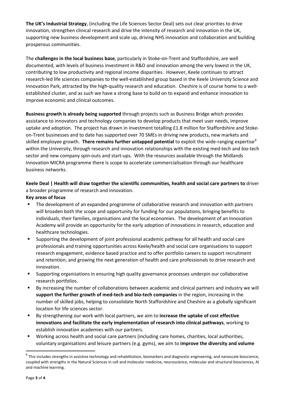**The UK's Industrial Strategy**, (including the Life Sciences Sector Deal) sets out clear priorities to drive innovation, strengthen clinical research and drive the intensity of research and innovation in the UK, supporting new business development and scale up, driving NHS innovation and collaboration and building prosperous communities.

The **challenges in the local business base**, particularly in Stoke-on-Trent and Staffordshire, are well documented, with levels of business investment in R&D and innovation among the very lowest in the UK, contributing to low productivity and regional income disparities. However, Keele continues to attract research-led life sciences companies to the well-established group based in the Keele University Science and Innovation Park, attracted by the high-quality research and education. Cheshire is of course home to a wellestablished cluster, and as such we have a strong base to build on to expand and enhance innovation to improve economic and clinical outcomes.

**Business growth is already being supported** through projects such as Business Bridge which provides assistance to innovators and technology companies to develop products that meet user needs, improve uptake and adoption. The project has drawn in investment totalling £1.8 million for Staffordshire and Stokeon-Trent businesses and to date has supported over 70 SMEs in driving new products, new markets and skilled employee growth. **There remains further untapped potential** to exploit the wide-ranging expertise<sup>[8](#page-6-0)</sup> within the University, through research and innovation relationships with the existing med-tech and bio-tech sector and new company spin-outs and start-ups. With the resources available through the Midlands Innovation MICRA programme there is scope to accelerate commercialisation through our healthcare business networks.

**Keele Deal | Health will draw together the scientific communities, health and social care partners to** driver a broader programme of research and innovation.

#### **Key areas of focus**

- The development of an expanded programme of collaborative research and innovation with partners will broaden both the scope and opportunity for funding for our populations, bringing benefits to individuals, their families, organisations and the local economies. The development of an Innovation Academy will provide an opportunity for the early adoption of innovations in research, education and healthcare technologies.
- Supporting the development of joint professional academic pathway for all health and social care professionals and training opportunities across Keele/health and social care organisations to support research engagement, evidence based practice and to offer portfolio careers to support recruitment and retention, and growing the next generation of health and care professionals to drive research and innovation.
- Supporting organisations in ensuring high quality governance processes underpin our collaborative research portfolios.
- By increasing the number of collaborations between academic and clinical partners and industry we will **support the further growth of med-tech and bio-tech companies** in the region, increasing in the number of skilled jobs, helping to consolidate North Staffordshire and Cheshire as a globally significant location for life sciences sector.
- By strengthening our work with local partners, we aim to **increase the uptake of cost effective innovations and facilitate the early implementation of research into clinical pathways**, working to establish innovation academies with our partners.
- Working across health and social care partners (including care homes, charities, local authorities, voluntary organisations and leisure partners (e.g. gyms), we aim to **improve the diversity and volume**

<span id="page-6-0"></span> $^8$  This includes strengths in assistive technology and rehabilitation, biomarkers and diagnostic engineering, and nanoscale bioscience, coupled with strengths in the Natural Sciences in cell and molecular medicine, neuroscience, molecular and structural biosciences, AI and machine learning.